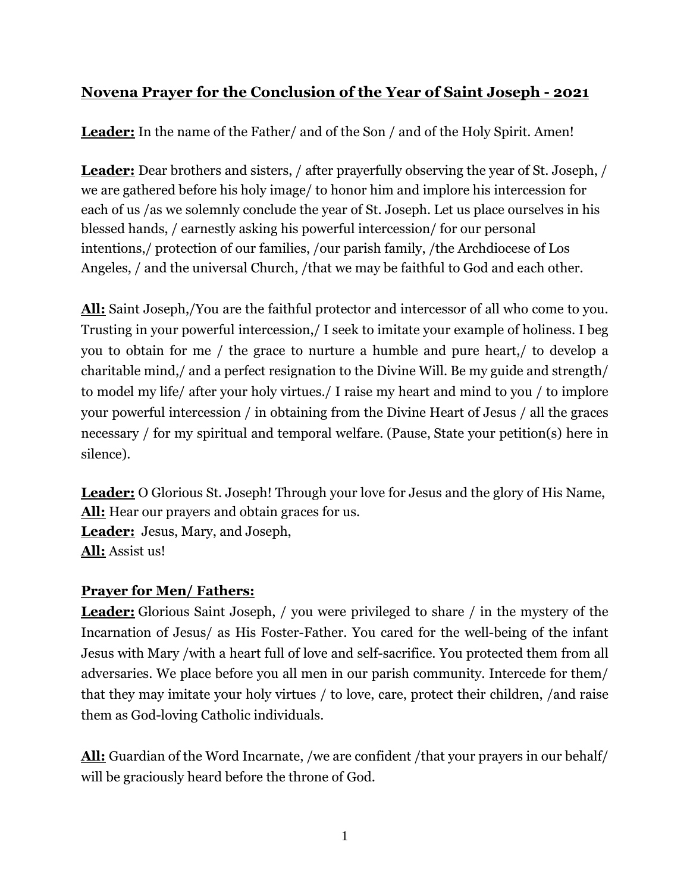# **Novena Prayer for the Conclusion of the Year of Saint Joseph - 2021**

**Leader:** In the name of the Father/ and of the Son / and of the Holy Spirit. Amen!

**Leader:** Dear brothers and sisters, / after prayerfully observing the year of St. Joseph, / we are gathered before his holy image/ to honor him and implore his intercession for each of us /as we solemnly conclude the year of St. Joseph. Let us place ourselves in his blessed hands, / earnestly asking his powerful intercession/ for our personal intentions,/ protection of our families, /our parish family, /the Archdiocese of Los Angeles, / and the universal Church, /that we may be faithful to God and each other.

**All:** Saint Joseph,/You are the faithful protector and intercessor of all who come to you. Trusting in your powerful intercession,/ I seek to imitate your example of holiness. I beg you to obtain for me / the grace to nurture a humble and pure heart,/ to develop a charitable mind,/ and a perfect resignation to the Divine Will. Be my guide and strength/ to model my life/ after your holy virtues./ I raise my heart and mind to you / to implore your powerful intercession / in obtaining from the Divine Heart of Jesus / all the graces necessary / for my spiritual and temporal welfare. (Pause, State your petition(s) here in silence).

**Leader:** O Glorious St. Joseph! Through your love for Jesus and the glory of His Name, **All:** Hear our prayers and obtain graces for us. **Leader:** Jesus, Mary, and Joseph, **All:** Assist us!

## **Prayer for Men/ Fathers:**

**Leader:** Glorious Saint Joseph, / you were privileged to share / in the mystery of the Incarnation of Jesus/ as His Foster-Father. You cared for the well-being of the infant Jesus with Mary /with a heart full of love and self-sacrifice. You protected them from all adversaries. We place before you all men in our parish community. Intercede for them/ that they may imitate your holy virtues / to love, care, protect their children, /and raise them as God-loving Catholic individuals.

**All:** Guardian of the Word Incarnate, /we are confident /that your prayers in our behalf/ will be graciously heard before the throne of God.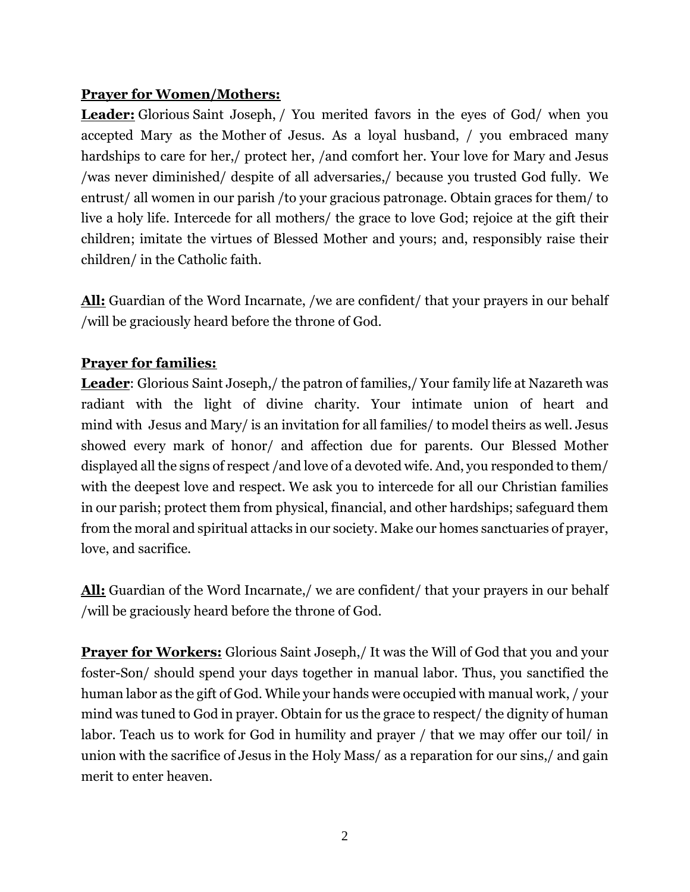### **Prayer for Women/Mothers:**

**Leader:** Glorious Saint Joseph, / You merited favors in the eyes of God/ when you accepted Mary as the Mother of Jesus. As a loyal husband, / you embraced many hardships to care for her, / protect her, / and comfort her. Your love for Mary and Jesus /was never diminished/ despite of all adversaries,/ because you trusted God fully. We entrust/ all women in our parish /to your gracious patronage. Obtain graces for them/ to live a holy life. Intercede for all mothers/ the grace to love God; rejoice at the gift their children; imitate the virtues of Blessed Mother and yours; and, responsibly raise their children/ in the Catholic faith.

**All:** Guardian of the Word Incarnate, /we are confident/ that your prayers in our behalf /will be graciously heard before the throne of God.

#### **Prayer for families:**

**Leader**: Glorious Saint Joseph,/ the patron of families,/ Your family life at Nazareth was radiant with the light of divine charity. Your intimate union of heart and mind with Jesus and Mary/ is an invitation for all families/ to model theirs as well. Jesus showed every mark of honor/ and affection due for parents. Our Blessed Mother displayed all the signs of respect /and love of a devoted wife. And, you responded to them/ with the deepest love and respect. We ask you to intercede for all our Christian families in our parish; protect them from physical, financial, and other hardships; safeguard them from the moral and spiritual attacks in our society. Make our homes sanctuaries of prayer, love, and sacrifice.

**All:** Guardian of the Word Incarnate,/ we are confident/ that your prayers in our behalf /will be graciously heard before the throne of God.

**Prayer for Workers:** Glorious Saint Joseph,/ It was the Will of God that you and your foster-Son/ should spend your days together in manual labor. Thus, you sanctified the human labor as the gift of God. While your hands were occupied with manual work, / your mind was tuned to God in prayer. Obtain for us the grace to respect/ the dignity of human labor. Teach us to work for God in humility and prayer / that we may offer our toil/ in union with the sacrifice of Jesus in the Holy Mass/ as a reparation for our sins,/ and gain merit to enter heaven.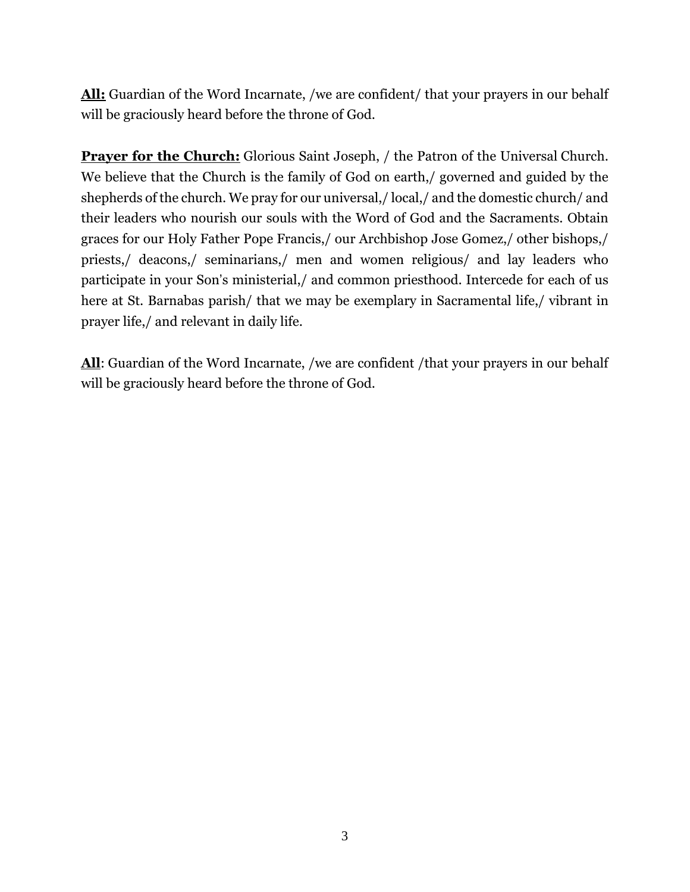**All:** Guardian of the Word Incarnate, /we are confident/ that your prayers in our behalf will be graciously heard before the throne of God.

**Prayer for the Church:** Glorious Saint Joseph, / the Patron of the Universal Church. We believe that the Church is the family of God on earth,/ governed and guided by the shepherds of the church. We pray for our universal,/ local,/ and the domestic church/ and their leaders who nourish our souls with the Word of God and the Sacraments. Obtain graces for our Holy Father Pope Francis,/ our Archbishop Jose Gomez,/ other bishops,/ priests,/ deacons,/ seminarians,/ men and women religious/ and lay leaders who participate in your Son's ministerial,/ and common priesthood. Intercede for each of us here at St. Barnabas parish/ that we may be exemplary in Sacramental life,/ vibrant in prayer life,/ and relevant in daily life.

**All**: Guardian of the Word Incarnate, /we are confident /that your prayers in our behalf will be graciously heard before the throne of God.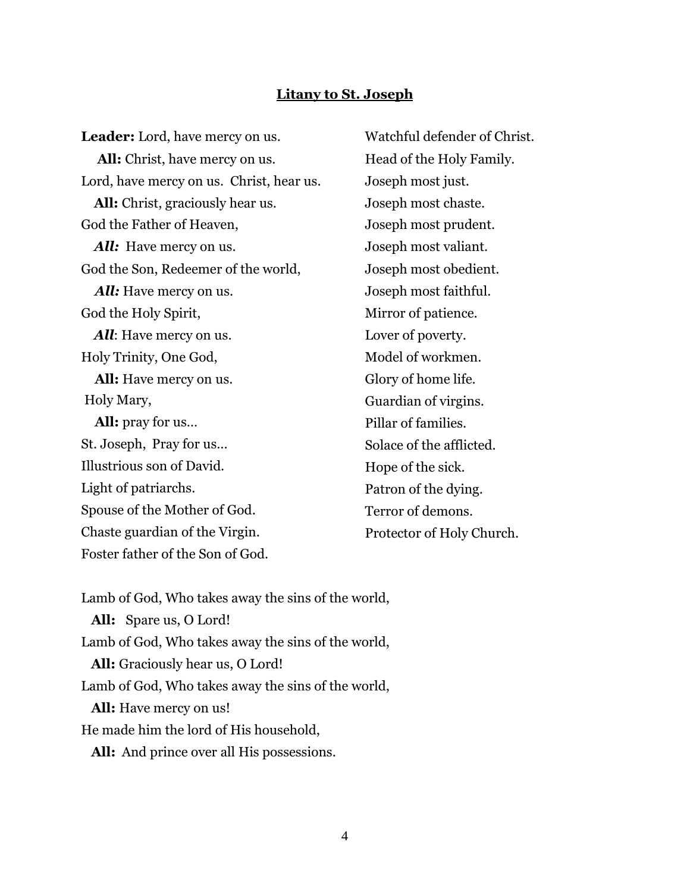#### **Litany to St. Joseph**

**Leader:** Lord, have mercy on us. **All:** Christ, have mercy on us. Lord, have mercy on us. Christ, hear us. **All:** Christ, graciously hear us. God the Father of Heaven, *All:* Have mercy on us. God the Son, Redeemer of the world, *All:* Have mercy on us. God the Holy Spirit, *All*: Have mercy on us. Holy Trinity, One God, **All:** Have mercy on us. Holy Mary, **All:** pray for us… St. Joseph, Pray for us… Illustrious son of David. Light of patriarchs. Spouse of the Mother of God. Chaste guardian of the Virgin. Foster father of the Son of God. Watchful defender of Christ. Head of the Holy Family. Joseph most just. Joseph most chaste. Joseph most prudent. Joseph most valiant. Joseph most obedient. Joseph most faithful. Mirror of patience. Lover of poverty. Model of workmen. Glory of home life. Guardian of virgins. Pillar of families. Solace of the afflicted. Hope of the sick. Patron of the dying. Terror of demons. Protector of Holy Church.

Lamb of God, Who takes away the sins of the world, **All:** Spare us, O Lord! Lamb of God, Who takes away the sins of the world, **All:** Graciously hear us, O Lord! Lamb of God, Who takes away the sins of the world, **All:** Have mercy on us! He made him the lord of His household, **All:** And prince over all His possessions.